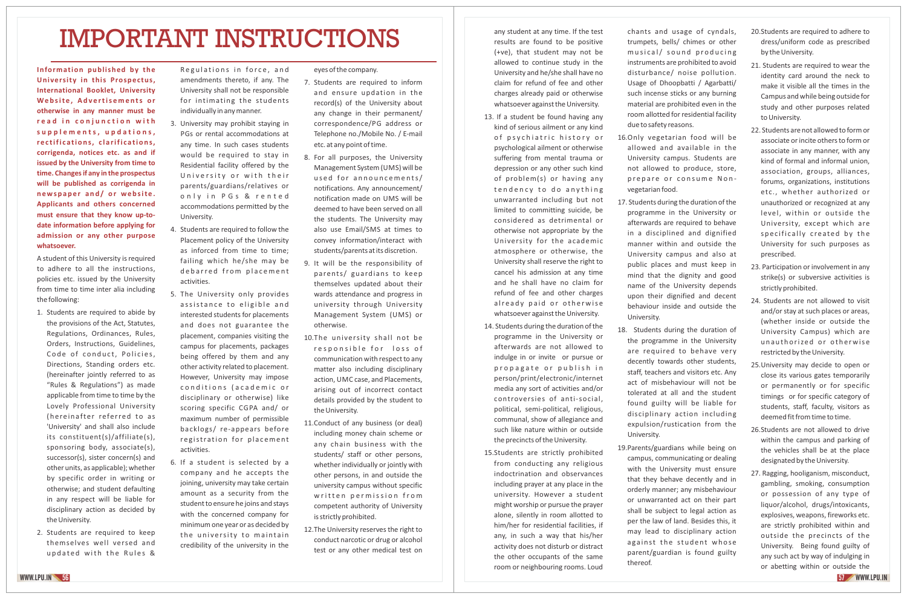## IMPORTANT INSTRUCTIONS

**Information published by the University in this Prospectus, International Booklet, University**  Website, Advertisements or **otherwise in any manner must be r e a d i n c o n j u n c t i o n w i t h s u p p l e m e n t s , u p d a t i o n s , re c tifi cations, c l a rifi cations, corrigenda, notices etc. as and if issued by the University from time to time. Changes if any in the prospectus will be published as corrigenda in newspape r and/ or website . Applicants and others concerned must ensure that they know up‐to‐ date information before applying for admission or any other purpose whatsoever.**

A student of this University is required to adhere to all the instructions, policies etc. issued by the University from time to time inter alia including the following:

- 1. Students are required to abide by the provisions of the Act, Statutes, Regulations, Ordinances, Rules, Orders, Instructions, Guidelines, Code of conduct, Policies, Directions, Standing orders etc. (hereinafter jointly referred to as "Rules & Regulations") as made applicable from time to time by the Lovely Professional University (hereinafter referred to as 'University' and shall also include its constituent(s)/affiliate(s), sponsoring body, associate(s), successor(s), sister concern(s) and other units, as applicable); whether by specific order in writing or otherwise; and student defaulting in any respect will be liable for disciplinary action as decided by the University.
- 2. Students are required to keep themselves well versed and updated with the Rules &

Regulations in force, and amendments thereto, if any. The University shall not be responsible for intimating the students individually in any manner.

- 3. University may prohibit staying in PGs or rental accommodations at any time. In such cases students would be required to stay in Residential facility offered by the University or with their parents/guardians/relatives or only in PGs & rented accommodations permitted by the University.
- 4. Students are required to follow the Placement policy of the University as inforced from time to time; failing which he/she may be debarred from placement activities.
- 5. The University only provides assistance to eligible and interested students for placements and does not guarantee the placement, companies visiting the campus for placements, packages being offered by them and any other activity related to placement. However, University may impose conditions (academic or disciplinary or otherwise) like scoring specific CGPA and/ or maximum number of permissible backlogs/ re‐appears before registration for placement activities.
- 6. If a student is selected by a company and he accepts the joining, university may take certain amount as a security from the student to ensure he joins and stays with the concerned company for minimum one year or as decided by the university to maintain credibility of the university in the

## eyes of the company.

- 7. Students are required to inform and ensure updation in the record(s) of the University about any change in their permanent/ correspondence/PG address or Telephone no./Mobile No. / E‐mail etc. at any point of time.
- 8. For all purposes, the University Management System (UMS) will be used for announcements/ notifications. Any announcement/ notification made on UMS will be deemed to have been served on all the students. The University may also use Email/SMS at times to convey information/interact with students/parents at its discretion.
- 9. It will be the responsibility of parents/ guardians to keep themselves updated about their wards attendance and progress in university through University Management System (UMS) or otherwise.
- 10. The university shall not be responsible for loss of communication with respect to any matter also including disciplinary action, UMC case, and Placements, arising out of incorrect contact details provided by the student to the University.
- 11. Conduct of any business (or deal) including money chain scheme or any chain business with the students/ staff or other persons, whether individually or jointly with other persons, in and outside the university campus without specific written permission from competent authority of University is strictly prohibited.
- 12. The University reserves the right to conduct narcotic or drug or alcohol test or any other medical test on

any student at any time. If the test results are found to be positive (+ve), that student may not be allowed to continue study in the University and he/she shall have no claim for refund of fee and other charges already paid or otherwise whatsoever against the University.

- 13. If a student be found having any kind of serious ailment or any kind of psychiatric history or psychological ailment or otherwise suffering from mental trauma or depression or any other such kind of problem(s) or having any tendency to do anything unwarranted including but not limited to committing suicide, be considered as detrimental or otherwise not appropriate by the University for the academic atmosphere or otherwise, the University shall reserve the right to cancel his admission at any time and he shall have no claim for refund of fee and other charges already paid or otherwise whatsoever against the University.
- 14. Students during the duration of the programme in the University or afterwards are not allowed to indulge in or invite or pursue or propagate or publish in person/print/electronic/internet media any sort of activities and/or controversies of anti‐social, political, semi‐political, religious, communal, show of allegiance and such like nature within or outside the precincts of the University.
- 15. Students are strictly prohibited from conducting any religious indoctrination and observances including prayer at any place in the university. However a student might worship or pursue the prayer alone, silently in room allotted to him/her for residential facilities, if any, in such a way that his/her activity does not disturb or distract the other occupants of the same room or neighbouring rooms. Loud

chants and usage of cyndals, trumpets, bells/ chimes or other musical/ sound producing instruments are prohibited to avoid disturbance/ noise pollution. Usage of Dhoopbatti / Agarbatti/ such incense sticks or any burning material are prohibited even in the room allotted for residential facility due to safety reasons.

- 16. Only vegetarian food will be allowed and available in the University campus. Students are not allowed to produce, store, prepare or consume Nonvegetarian food.
- 17. Students during the duration of the programme in the University or afterwards are required to behave in a disciplined and dignified manner within and outside the University campus and also at public places and must keep in mind that the dignity and good name of the University depends upon their dignified and decent behaviour inside and outside the University.
- 18. Students during the duration of the programme in the University are required to behave very decently towards other students, staff, teachers and visitors etc. Any act of misbehaviour will not be tolerated at all and the student found guilty will be liable for disciplinary action including expulsion/rustication from the University.
- 19. Parents/guardians while being on campus, communicating or dealing with the University must ensure that they behave decently and in orderly manner; any misbehaviour or unwarranted act on their part shall be subject to legal action as per the law of land. Besides this, it may lead to disciplinary action against the student whose parent/guardian is found guilty thereof.
- 20. Students are required to adhere to dress/uniform code as prescribed by the University.
- 21. Students are required to wear the identity card around the neck to make it visible all the times in the Campus and while being outside for study and other purposes related to University.
- 22. Students are not allowed to form or associate or incite others to form or associate in any manner, with any kind of formal and informal union, association, groups, alliances, forums, organizations, institutions etc., whether authorized or unauthorized or recognized at any level, within or outside the University, except which are specifically created by the University for such purposes as prescribed.
- 23. Participation or involvement in any strike(s) or subversive activities is strictly prohibited.
- 24. Students are not allowed to visit and/or stay at such places or areas, (whether inside or outside the University Campus) which are unauthorized or otherwise restricted by the University.
- 25. University may decide to open or close its various gates temporarily or permanently or for specific timings or for specific category of students, staff, faculty, visitors as deemed fit from time to time.
- 26. Students are not allowed to drive within the campus and parking of the vehicles shall be at the place designated by the University.
- 27. Ragging, hooliganism, misconduct, gambling, smoking, consumption or possession of any type of liquor/alcohol, drugs/intoxicants, explosives, weapons, fireworks etc. are strictly prohibited within and outside the precincts of the University. Being found guilty of any such act by way of indulging in or abetting within or outside the